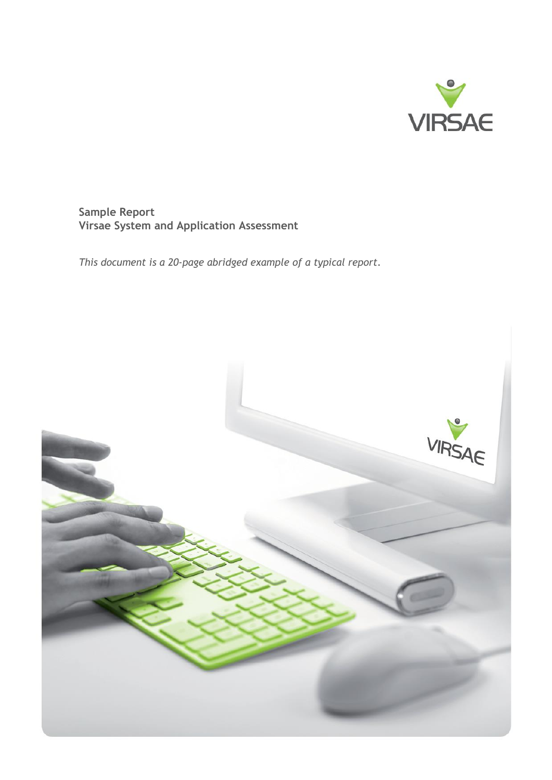

# **Sample Report Virsae System and Application Assessment**

*This document is a 20-page abridged example of a typical report.*

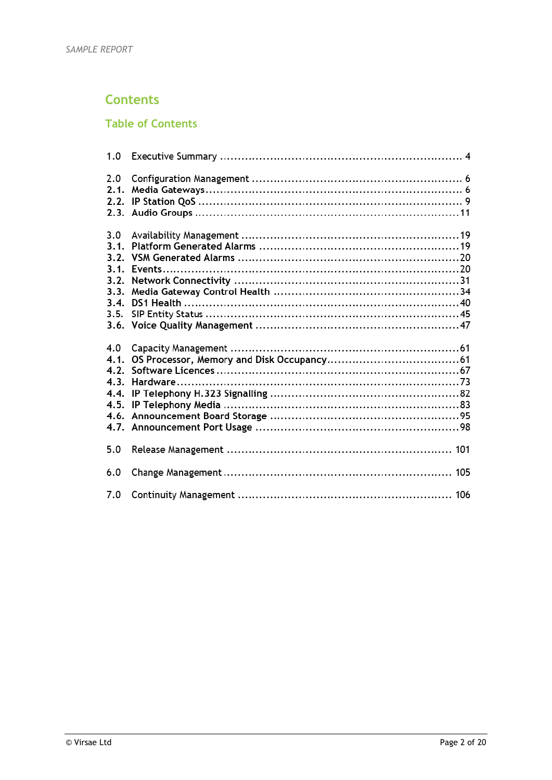# **Contents**

## **Table of Contents**

| 1.0                         |  |
|-----------------------------|--|
| 2.0<br>2.1.<br>2.2.         |  |
| 3.0<br>3.1.<br>3.1.<br>3.2. |  |
| 3.3.<br>3.4.<br>3.5.        |  |
| 4.0<br>4.1.<br>4.2.<br>4.3. |  |
| 5.0                         |  |
| 6.0                         |  |
| 7.0                         |  |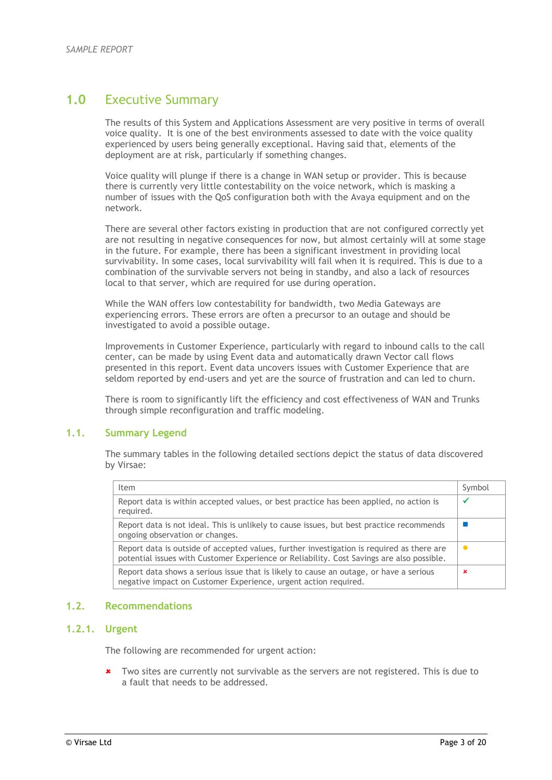## **1.0** Executive Summary

The results of this System and Applications Assessment are very positive in terms of overall voice quality. It is one of the best environments assessed to date with the voice quality experienced by users being generally exceptional. Having said that, elements of the deployment are at risk, particularly if something changes.

Voice quality will plunge if there is a change in WAN setup or provider. This is because there is currently very little contestability on the voice network, which is masking a number of issues with the QoS configuration both with the Avaya equipment and on the network.

There are several other factors existing in production that are not configured correctly yet are not resulting in negative consequences for now, but almost certainly will at some stage in the future. For example, there has been a significant investment in providing local survivability. In some cases, local survivability will fail when it is required. This is due to a combination of the survivable servers not being in standby, and also a lack of resources local to that server, which are required for use during operation.

While the WAN offers low contestability for bandwidth, two Media Gateways are experiencing errors. These errors are often a precursor to an outage and should be investigated to avoid a possible outage.

Improvements in Customer Experience, particularly with regard to inbound calls to the call center, can be made by using Event data and automatically drawn Vector call flows presented in this report. Event data uncovers issues with Customer Experience that are seldom reported by end-users and yet are the source of frustration and can led to churn.

There is room to significantly lift the efficiency and cost effectiveness of WAN and Trunks through simple reconfiguration and traffic modeling.

### **1.1. Summary Legend**

The summary tables in the following detailed sections depict the status of data discovered by Virsae:

| Item                                                                                                                                                                                   | Symbol |
|----------------------------------------------------------------------------------------------------------------------------------------------------------------------------------------|--------|
| Report data is within accepted values, or best practice has been applied, no action is<br>required.                                                                                    |        |
| Report data is not ideal. This is unlikely to cause issues, but best practice recommends<br>ongoing observation or changes.                                                            |        |
| Report data is outside of accepted values, further investigation is required as there are<br>potential issues with Customer Experience or Reliability. Cost Savings are also possible. |        |
| Report data shows a serious issue that is likely to cause an outage, or have a serious<br>negative impact on Customer Experience, urgent action required.                              | ×      |

## **1.2. Recommendations**

## **1.2.1. Urgent**

The following are recommended for urgent action:

\* Two sites are currently not survivable as the servers are not registered. This is due to a fault that needs to be addressed.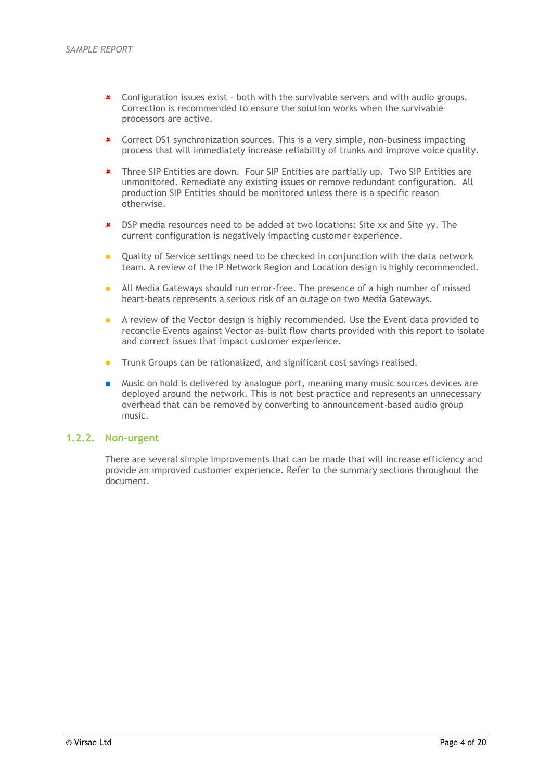- Configuration issues exist both with the survivable servers and with audio groups. Correction is recommended to ensure the solution works when the survivable processors are active.
- Correct DS1 synchronization sources. This is a very simple, non-business impacting process that will immediately increase reliability of trunks and improve voice quality.
- Three SIP Entities are down. Four SIP Entities are partially up. Two SIP Entities are unmonitored. Remediate any existing issues or remove redundant configuration. All production SIP Entities should be monitored unless there is a specific reason otherwise.
- DSP media resources need to be added at two locations: Site xx and Site yy. The current configuration is negatively impacting customer experience.
- Quality of Service settings need to be checked in conjunction with the data network team. A review of the IP Network Region and Location design is highly recommended.
- All Media Gateways should run error-free. The presence of a high number of missed heart-beats represents a serious risk of an outage on two Media Gateways.
- A review of the Vector design is highly recommended. Use the Event data provided to reconcile Events against Vector as-built flow charts provided with this report to isolate and correct issues that impact customer experience.
- Trunk Groups can be rationalized, and significant cost savings realised.
- **Music on hold is delivered by analogue port, meaning many music sources devices are** deployed around the network. This is not best practice and represents an unnecessary overhead that can be removed by converting to announcement-based audio group music.

### **1.2.2. Non-urgent**

There are several simple improvements that can be made that will increase efficiency and provide an improved customer experience. Refer to the summary sections throughout the document.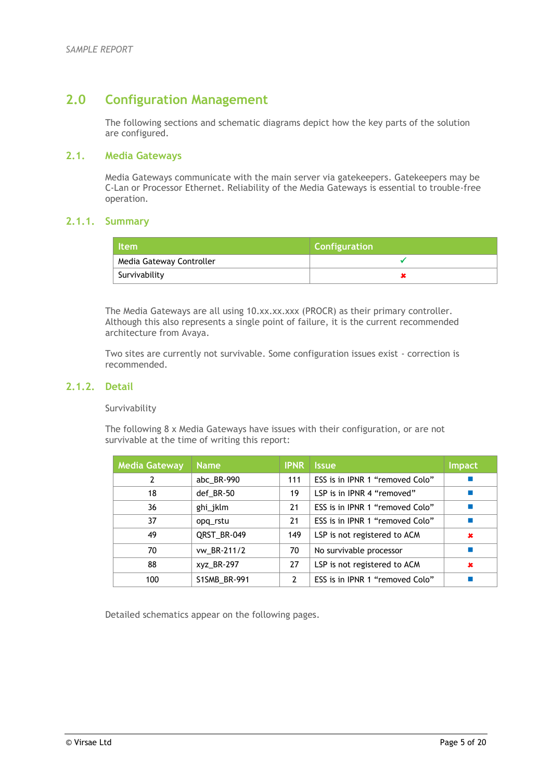# **2.0 Configuration Management**

The following sections and schematic diagrams depict how the key parts of the solution are configured.

## **2.1. Media Gateways**

Media Gateways communicate with the main server via gatekeepers. Gatekeepers may be C-Lan or Processor Ethernet. Reliability of the Media Gateways is essential to trouble-free operation.

## **2.1.1. Summary**

| <b>Item</b>              | <b>Configuration</b> |
|--------------------------|----------------------|
| Media Gateway Controller |                      |
| Survivability            |                      |

The Media Gateways are all using 10.xx.xx.xxx (PROCR) as their primary controller. Although this also represents a single point of failure, it is the current recommended architecture from Avaya.

Two sites are currently not survivable. Some configuration issues exist - correction is recommended.

### **2.1.2. Detail**

### Survivability

The following 8 x Media Gateways have issues with their configuration, or are not survivable at the time of writing this report:

| <b>Media Gateway</b> | <b>Name</b>  | <b>IPNR</b>   | <b>Issue</b>                    | <b>Impact</b> |  |
|----------------------|--------------|---------------|---------------------------------|---------------|--|
| 2                    | abc_BR-990   | 111           | ESS is in IPNR 1 "removed Colo" |               |  |
| 18                   | def_BR-50    | 19            | LSP is in IPNR 4 "removed"      |               |  |
| 36                   | ghi_jklm     | 21            | ESS is in IPNR 1 "removed Colo" |               |  |
| 37                   | opq_rstu     | 21            | ESS is in IPNR 1 "removed Colo" |               |  |
| 49                   | QRST_BR-049  | 149           | LSP is not registered to ACM    | ×             |  |
| 70                   | vw BR-211/2  | 70            | No survivable processor         |               |  |
| 88                   | xyz_BR-297   | 27            | LSP is not registered to ACM    | $\mathbf x$   |  |
| 100                  | S1SMB_BR-991 | $\mathcal{P}$ | ESS is in IPNR 1 "removed Colo" | T.            |  |

Detailed schematics appear on the following pages.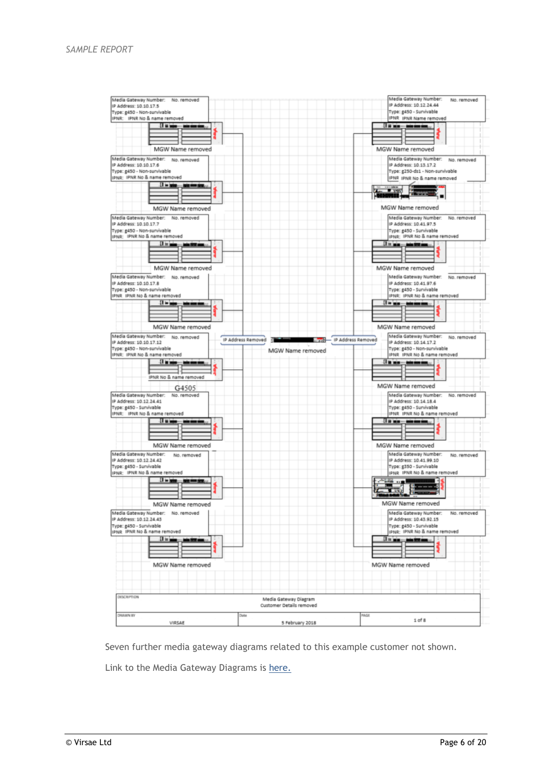

Seven further media gateway diagrams related to this example customer not shown.

Link to the Media Gateway Diagrams is here.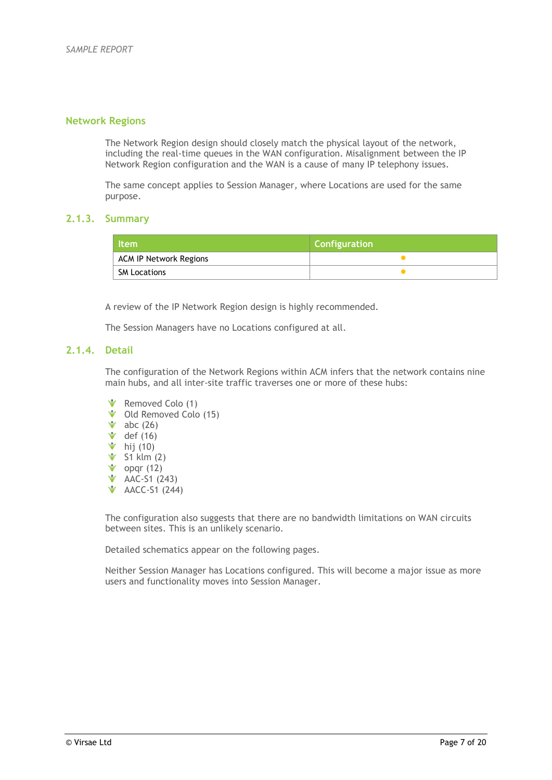## **Network Regions**

The Network Region design should closely match the physical layout of the network, including the real-time queues in the WAN configuration. Misalignment between the IP Network Region configuration and the WAN is a cause of many IP telephony issues.

The same concept applies to Session Manager, where Locations are used for the same purpose.

## **2.1.3. Summary**

| <b>Item</b>            | <b>Configuration</b> |  |  |
|------------------------|----------------------|--|--|
| ACM IP Network Regions |                      |  |  |
| <b>SM Locations</b>    |                      |  |  |

A review of the IP Network Region design is highly recommended.

The Session Managers have no Locations configured at all.

## **2.1.4. Detail**

The configuration of the Network Regions within ACM infers that the network contains nine main hubs, and all inter-site traffic traverses one or more of these hubs:

- Removed Colo (1)
- Old Removed Colo (15)
- $\bullet$  abc (26)
- $\bullet$  def (16)
- $\bullet$  hij (10)
- $\bullet$  S1 klm (2)
- opqr (12)
- AAC-S1 (243)
- **V** AACC-S1 (244)

The configuration also suggests that there are no bandwidth limitations on WAN circuits between sites. This is an unlikely scenario.

Detailed schematics appear on the following pages.

Neither Session Manager has Locations configured. This will become a major issue as more users and functionality moves into Session Manager.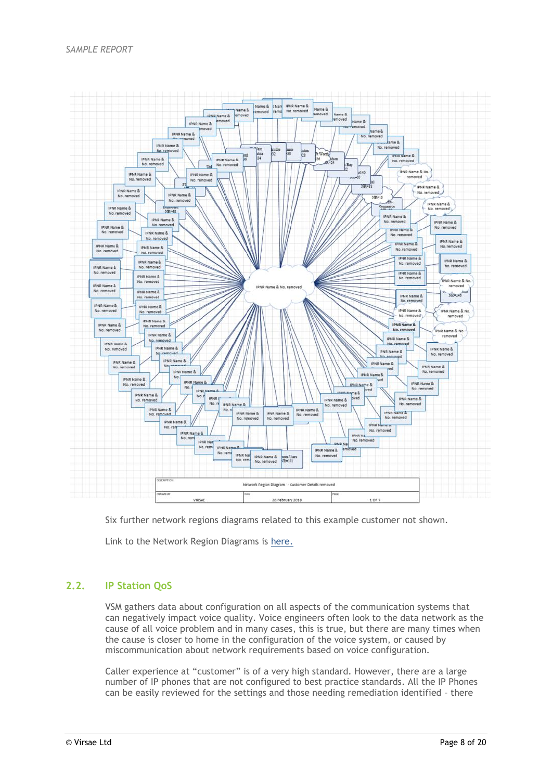

Six further network regions diagrams related to this example customer not shown.

Link to the Network Region Diagrams is here.

## **2.2. IP Station QoS**

VSM gathers data about configuration on all aspects of the communication systems that can negatively impact voice quality. Voice engineers often look to the data network as the cause of all voice problem and in many cases, this is true, but there are many times when the cause is closer to home in the configuration of the voice system, or caused by miscommunication about network requirements based on voice configuration.

Caller experience at "customer" is of a very high standard. However, there are a large number of IP phones that are not configured to best practice standards. All the IP Phones can be easily reviewed for the settings and those needing remediation identified – there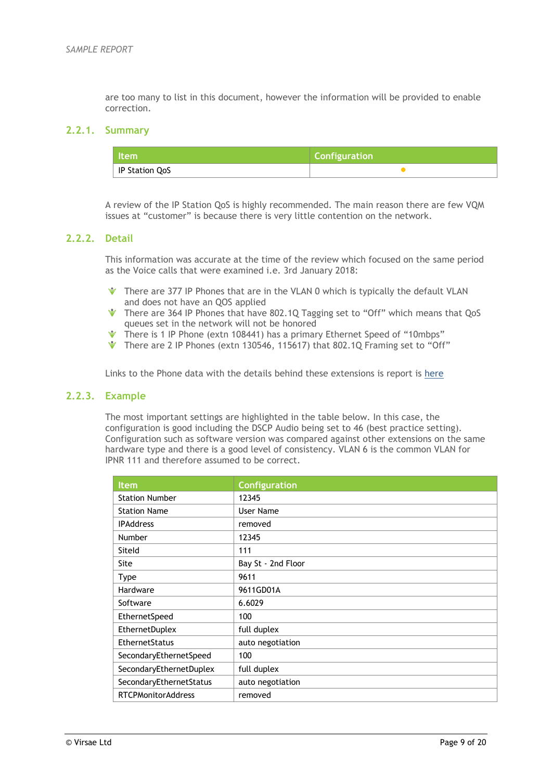are too many to list in this document, however the information will be provided to enable correction.

## **2.2.1. Summary**

| l Item         | <b>Configuration</b> |
|----------------|----------------------|
| IP Station QoS |                      |

A review of the IP Station QoS is highly recommended. The main reason there are few VQM issues at "customer" is because there is very little contention on the network.

## **2.2.2. Detail**

This information was accurate at the time of the review which focused on the same period as the Voice calls that were examined i.e. 3rd January 2018:

- There are 377 IP Phones that are in the VLAN 0 which is typically the default VLAN and does not have an QOS applied
- There are 364 IP Phones that have 802.1Q Tagging set to "Off" which means that QoS queues set in the network will not be honored
- There is 1 IP Phone (extn 108441) has a primary Ethernet Speed of "10mbps"
- There are 2 IP Phones (extn 130546, 115617) that 802.10 Framing set to "Off"

Links to the Phone data with the details behind these extensions is report is here

#### **2.2.3. Example**

The most important settings are highlighted in the table below. In this case, the configuration is good including the DSCP Audio being set to 46 (best practice setting). Configuration such as software version was compared against other extensions on the same hardware type and there is a good level of consistency. VLAN 6 is the common VLAN for IPNR 111 and therefore assumed to be correct.

| <b>Item</b>               | <b>Configuration</b> |
|---------------------------|----------------------|
| <b>Station Number</b>     | 12345                |
| <b>Station Name</b>       | User Name            |
| <b>IPAddress</b>          | removed              |
| Number                    | 12345                |
| Siteld                    | 111                  |
| <b>Site</b>               | Bay St - 2nd Floor   |
| <b>Type</b>               | 9611                 |
| Hardware                  | 9611GD01A            |
| Software                  | 6.6029               |
| EthernetSpeed             | 100                  |
| EthernetDuplex            | full duplex          |
| EthernetStatus            | auto negotiation     |
| SecondaryEthernetSpeed    | 100                  |
| SecondaryEthernetDuplex   | full duplex          |
| SecondaryEthernetStatus   | auto negotiation     |
| <b>RTCPMonitorAddress</b> | removed              |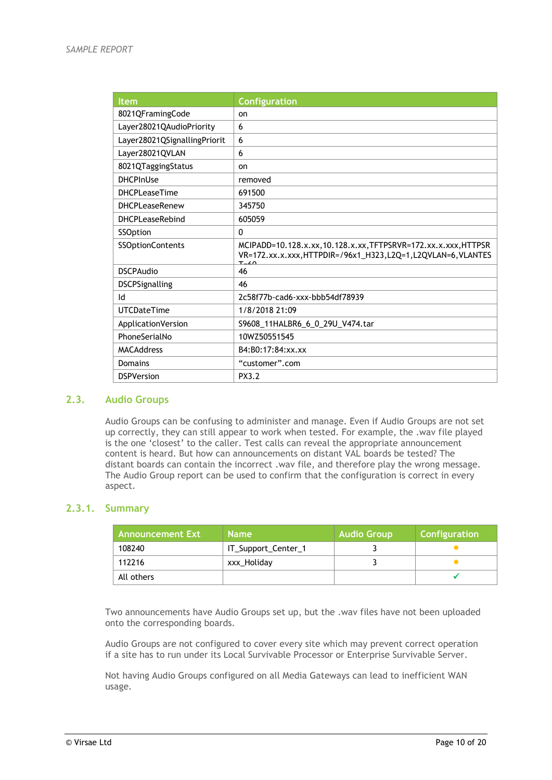| <b>Item</b>                  | <b>Configuration</b>                                                                                                                           |
|------------------------------|------------------------------------------------------------------------------------------------------------------------------------------------|
| 8021QFramingCode             | on                                                                                                                                             |
| Layer28021QAudioPriority     | 6                                                                                                                                              |
| Layer28021QSignallingPriorit | 6                                                                                                                                              |
| Layer28021QVLAN              | 6                                                                                                                                              |
| 8021QTaggingStatus           | on                                                                                                                                             |
| <b>DHCPInUse</b>             | removed                                                                                                                                        |
| <b>DHCPLeaseTime</b>         | 691500                                                                                                                                         |
| <b>DHCPLeaseRenew</b>        | 345750                                                                                                                                         |
| <b>DHCPLeaseRebind</b>       | 605059                                                                                                                                         |
| SSOption                     | $\mathbf{0}$                                                                                                                                   |
| SSOptionContents             | MCIPADD=10.128.x.xx,10.128.x.xx,TFTPSRVR=172.xx.x.xxx,HTTPSR<br>VR=172.xx.x.xxx, HTTPDIR=/96x1_H323, L2Q=1, L2QVLAN=6, VLANTES<br>$T \times 0$ |
| <b>DSCPAudio</b>             | 46                                                                                                                                             |
| <b>DSCPSignalling</b>        | 46                                                                                                                                             |
| Id                           | 2c58f77b-cad6-xxx-bbb54df78939                                                                                                                 |
| UTCDateTime                  | 1/8/2018 21:09                                                                                                                                 |
| ApplicationVersion           | S9608 11HALBR6 6 0 29U V474.tar                                                                                                                |
| PhoneSerialNo                | 10WZ50551545                                                                                                                                   |
| <b>MACAddress</b>            | B4:B0:17:84:xx.xx                                                                                                                              |
| Domains                      | "customer".com                                                                                                                                 |
| <b>DSPVersion</b>            | PX3.2                                                                                                                                          |

## **2.3. Audio Groups**

Audio Groups can be confusing to administer and manage. Even if Audio Groups are not set up correctly, they can still appear to work when tested. For example, the .wav file played is the one 'closest' to the caller. Test calls can reveal the appropriate announcement content is heard. But how can announcements on distant VAL boards be tested? The distant boards can contain the incorrect .wav file, and therefore play the wrong message. The Audio Group report can be used to confirm that the configuration is correct in every aspect.

### **2.3.1. Summary**

| <b>Announcement Ext</b> | <b>Name</b>         | <b>Audio Group</b> | Configuration |
|-------------------------|---------------------|--------------------|---------------|
| 108240                  | IT_Support_Center_1 |                    |               |
| 112216                  | xxx Holiday         |                    |               |
| All others              |                     |                    |               |

Two announcements have Audio Groups set up, but the .wav files have not been uploaded onto the corresponding boards.

Audio Groups are not configured to cover every site which may prevent correct operation if a site has to run under its Local Survivable Processor or Enterprise Survivable Server.

Not having Audio Groups configured on all Media Gateways can lead to inefficient WAN usage.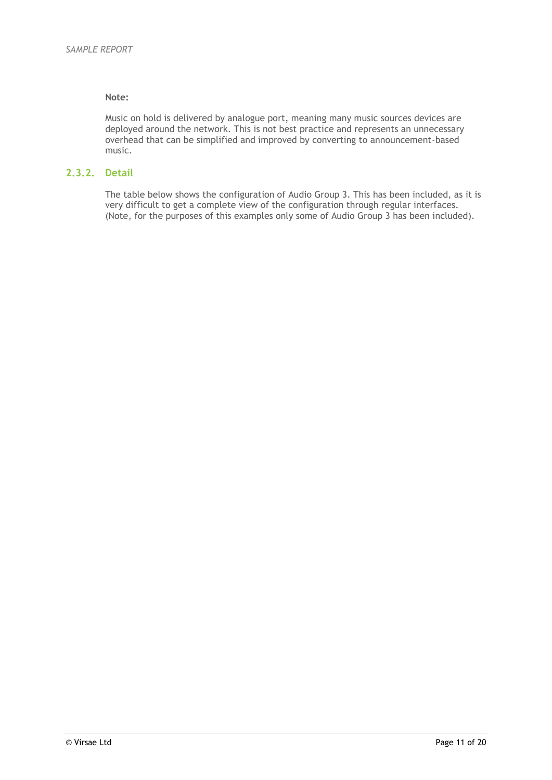## **Note:**

Music on hold is delivered by analogue port, meaning many music sources devices are deployed around the network. This is not best practice and represents an unnecessary overhead that can be simplified and improved by converting to announcement-based music.

## **2.3.2. Detail**

The table below shows the configuration of Audio Group 3. This has been included, as it is very difficult to get a complete view of the configuration through regular interfaces. (Note, for the purposes of this examples only some of Audio Group 3 has been included).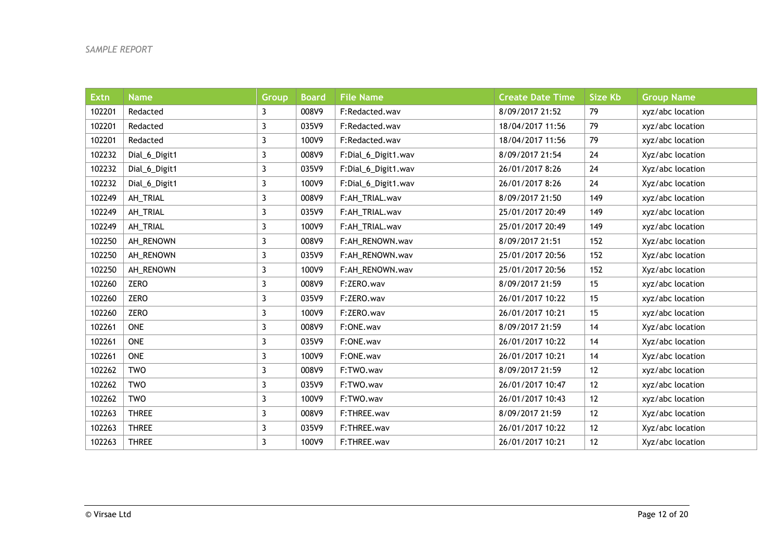| <b>Extn</b> | <b>Name</b>   | <b>Group</b> | <b>Board</b> | <b>File Name</b>    | <b>Create Date Time</b> | <b>Size Kb</b> | <b>Group Name</b> |
|-------------|---------------|--------------|--------------|---------------------|-------------------------|----------------|-------------------|
| 102201      | Redacted      | 3            | 008V9        | F:Redacted.wav      | 8/09/2017 21:52         | 79             | xyz/abc location  |
| 102201      | Redacted      | 3            | 035V9        | F:Redacted.wav      | 18/04/2017 11:56        | 79             | xyz/abc location  |
| 102201      | Redacted      | 3            | 100V9        | F:Redacted.wav      | 18/04/2017 11:56        | 79             | xyz/abc location  |
| 102232      | Dial_6_Digit1 | 3            | 008V9        | F:Dial_6_Digit1.wav | 8/09/2017 21:54         | 24             | Xyz/abc location  |
| 102232      | Dial_6_Digit1 | 3            | 035V9        | F:Dial_6_Digit1.wav | 26/01/2017 8:26         | 24             | Xyz/abc location  |
| 102232      | Dial_6_Digit1 | 3            | 100V9        | F:Dial_6_Digit1.wav | 26/01/2017 8:26         | 24             | Xyz/abc location  |
| 102249      | AH_TRIAL      | 3            | 008V9        | F:AH_TRIAL.wav      | 8/09/2017 21:50         | 149            | xyz/abc location  |
| 102249      | AH_TRIAL      | 3            | 035V9        | F:AH_TRIAL.wav      | 25/01/2017 20:49        | 149            | xyz/abc location  |
| 102249      | AH_TRIAL      | 3            | 100V9        | F:AH_TRIAL.wav      | 25/01/2017 20:49        | 149            | xyz/abc location  |
| 102250      | AH_RENOWN     | 3            | 008V9        | F:AH_RENOWN.wav     | 8/09/2017 21:51         | 152            | Xyz/abc location  |
| 102250      | AH_RENOWN     | 3            | 035V9        | F:AH_RENOWN.wav     | 25/01/2017 20:56        | 152            | Xyz/abc location  |
| 102250      | AH_RENOWN     | 3            | 100V9        | F:AH_RENOWN.wav     | 25/01/2017 20:56        | 152            | Xyz/abc location  |
| 102260      | <b>ZERO</b>   | 3            | 008V9        | F:ZERO.wav          | 8/09/2017 21:59         | 15             | xyz/abc location  |
| 102260      | <b>ZERO</b>   | 3            | 035V9        | F:ZERO.wav          | 26/01/2017 10:22        | 15             | xyz/abc location  |
| 102260      | <b>ZERO</b>   | 3            | 100V9        | F:ZERO.wav          | 26/01/2017 10:21        | 15             | xyz/abc location  |
| 102261      | <b>ONE</b>    | 3            | 008V9        | F:ONE.wav           | 8/09/2017 21:59         | 14             | Xyz/abc location  |
| 102261      | <b>ONE</b>    | 3            | 035V9        | F:ONE.wav           | 26/01/2017 10:22        | 14             | Xyz/abc location  |
| 102261      | <b>ONE</b>    | 3            | 100V9        | F:ONE.wav           | 26/01/2017 10:21        | 14             | Xyz/abc location  |
| 102262      | <b>TWO</b>    | 3            | 008V9        | F:TWO.wav           | 8/09/2017 21:59         | 12             | xyz/abc location  |
| 102262      | <b>TWO</b>    | 3            | 035V9        | F:TWO.wav           | 26/01/2017 10:47        | 12             | xyz/abc location  |
| 102262      | <b>TWO</b>    | 3            | 100V9        | F:TWO.wav           | 26/01/2017 10:43        | 12             | xyz/abc location  |
| 102263      | <b>THREE</b>  | 3            | 008V9        | F:THREE.wav         | 8/09/2017 21:59         | 12             | Xyz/abc location  |
| 102263      | <b>THREE</b>  | 3            | 035V9        | F:THREE.wav         | 26/01/2017 10:22        | 12             | Xyz/abc location  |
| 102263      | <b>THREE</b>  | 3            | 100V9        | F:THREE.wav         | 26/01/2017 10:21        | 12             | Xyz/abc location  |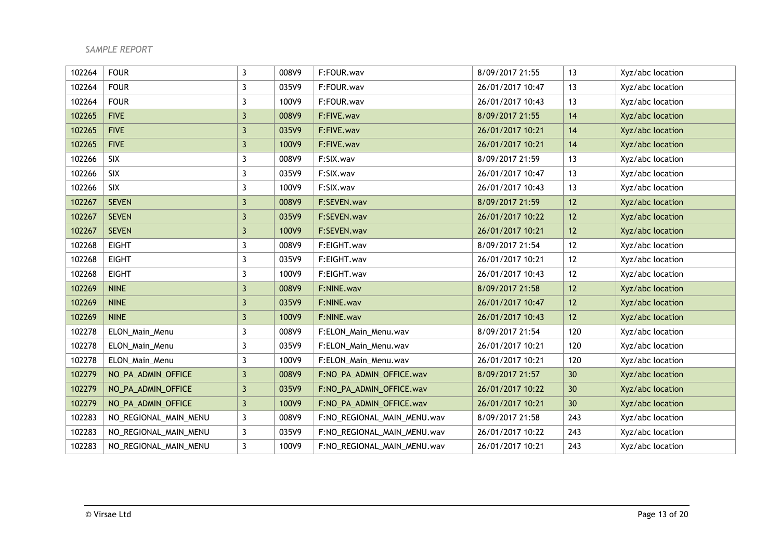| 102264 | <b>FOUR</b>           | $\mathbf{3}$ | 008V9 | F:FOUR.wav                  | 8/09/2017 21:55  | 13  | Xyz/abc location |
|--------|-----------------------|--------------|-------|-----------------------------|------------------|-----|------------------|
| 102264 | <b>FOUR</b>           | 3            | 035V9 | F:FOUR.wav                  | 26/01/2017 10:47 | 13  | Xyz/abc location |
| 102264 | <b>FOUR</b>           | 3            | 100V9 | F:FOUR.wav                  | 26/01/2017 10:43 | 13  | Xyz/abc location |
| 102265 | <b>FIVE</b>           | $\mathbf{3}$ | 008V9 | F:FIVE.wav                  | 8/09/2017 21:55  | 14  | Xyz/abc location |
| 102265 | <b>FIVE</b>           | 3            | 035V9 | F:FIVE.wav                  | 26/01/2017 10:21 | 14  | Xyz/abc location |
| 102265 | <b>FIVE</b>           | 3            | 100V9 | F:FIVE.wav                  | 26/01/2017 10:21 | 14  | Xyz/abc location |
| 102266 | SIX                   | $\mathbf{3}$ | 008V9 | F:SIX.wav                   | 8/09/2017 21:59  | 13  | Xyz/abc location |
| 102266 | <b>SIX</b>            | $\mathbf{3}$ | 035V9 | F:SIX.wav                   | 26/01/2017 10:47 | 13  | Xyz/abc location |
| 102266 | <b>SIX</b>            | 3            | 100V9 | F:SIX.wav                   | 26/01/2017 10:43 | 13  | Xyz/abc location |
| 102267 | <b>SEVEN</b>          | $\mathbf{3}$ | 008V9 | F:SEVEN.wav                 | 8/09/2017 21:59  | 12  | Xyz/abc location |
| 102267 | <b>SEVEN</b>          | 3            | 035V9 | F:SEVEN.wav                 | 26/01/2017 10:22 | 12  | Xyz/abc location |
| 102267 | <b>SEVEN</b>          | $\mathbf{3}$ | 100V9 | F:SEVEN.wav                 | 26/01/2017 10:21 | 12  | Xyz/abc location |
| 102268 | <b>EIGHT</b>          | 3            | 008V9 | F:EIGHT.wav                 | 8/09/2017 21:54  | 12  | Xyz/abc location |
| 102268 | <b>EIGHT</b>          | 3            | 035V9 | F:EIGHT.wav                 | 26/01/2017 10:21 | 12  | Xyz/abc location |
| 102268 | <b>EIGHT</b>          | 3            | 100V9 | F:EIGHT.wav                 | 26/01/2017 10:43 | 12  | Xyz/abc location |
| 102269 | <b>NINE</b>           | $\mathbf{3}$ | 008V9 | F:NINE.wav                  | 8/09/2017 21:58  | 12  | Xyz/abc location |
| 102269 | <b>NINE</b>           | 3            | 035V9 | F:NINE.wav                  | 26/01/2017 10:47 | 12  | Xyz/abc location |
| 102269 | <b>NINE</b>           | 3            | 100V9 | F:NINE.wav                  | 26/01/2017 10:43 | 12  | Xyz/abc location |
| 102278 | ELON_Main_Menu        | 3            | 008V9 | F:ELON_Main_Menu.wav        | 8/09/2017 21:54  | 120 | Xyz/abc location |
| 102278 | ELON_Main_Menu        | 3            | 035V9 | F:ELON_Main_Menu.wav        | 26/01/2017 10:21 | 120 | Xyz/abc location |
| 102278 | ELON_Main_Menu        | 3            | 100V9 | F:ELON_Main_Menu.wav        | 26/01/2017 10:21 | 120 | Xyz/abc location |
| 102279 | NO_PA_ADMIN_OFFICE    | $\mathbf{3}$ | 008V9 | F:NO_PA_ADMIN_OFFICE.wav    | 8/09/2017 21:57  | 30  | Xyz/abc location |
| 102279 | NO_PA_ADMIN_OFFICE    | $\mathbf{3}$ | 035V9 | F:NO_PA_ADMIN_OFFICE.wav    | 26/01/2017 10:22 | 30  | Xyz/abc location |
| 102279 | NO_PA_ADMIN_OFFICE    | $\mathbf{3}$ | 100V9 | F:NO_PA_ADMIN_OFFICE.wav    | 26/01/2017 10:21 | 30  | Xyz/abc location |
| 102283 | NO_REGIONAL_MAIN_MENU | $\mathbf{3}$ | 008V9 | F:NO_REGIONAL_MAIN_MENU.wav | 8/09/2017 21:58  | 243 | Xyz/abc location |
| 102283 | NO_REGIONAL_MAIN_MENU | 3            | 035V9 | F:NO_REGIONAL_MAIN_MENU.wav | 26/01/2017 10:22 | 243 | Xyz/abc location |
| 102283 | NO_REGIONAL_MAIN_MENU | 3            | 100V9 | F:NO_REGIONAL_MAIN_MENU.wav | 26/01/2017 10:21 | 243 | Xyz/abc location |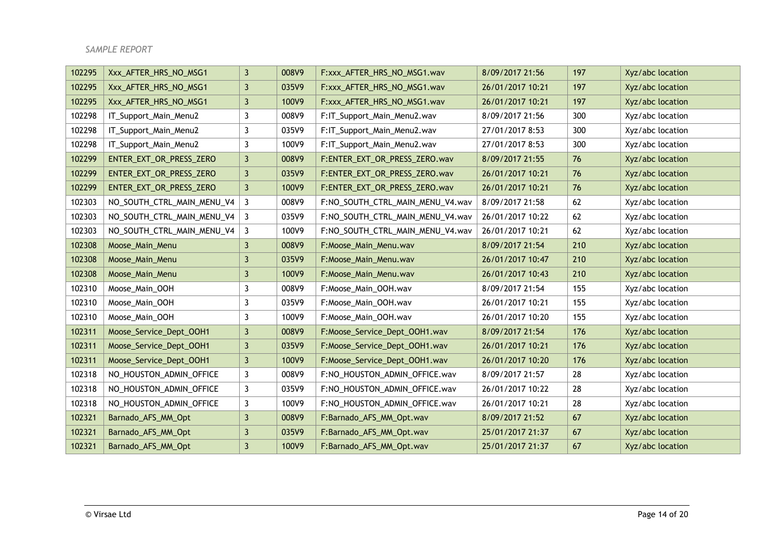| 102295 | Xxx_AFTER_HRS_NO_MSG1      | $\mathbf{3}$   | 008V9 | F:xxx_AFTER_HRS_NO_MSG1.wav      | 8/09/2017 21:56  | 197 | Xyz/abc location |
|--------|----------------------------|----------------|-------|----------------------------------|------------------|-----|------------------|
| 102295 | Xxx AFTER HRS NO MSG1      | 3              | 035V9 | F:xxx AFTER HRS NO MSG1.wav      | 26/01/2017 10:21 | 197 | Xyz/abc location |
| 102295 | Xxx_AFTER_HRS_NO_MSG1      | 3              | 100V9 | F:xxx AFTER HRS NO MSG1.wav      | 26/01/2017 10:21 | 197 | Xyz/abc location |
| 102298 | IT_Support_Main_Menu2      | 3              | 008V9 | F:IT_Support_Main_Menu2.wav      | 8/09/2017 21:56  | 300 | Xyz/abc location |
| 102298 | IT_Support_Main_Menu2      | 3              | 035V9 | F:IT_Support_Main_Menu2.wav      | 27/01/2017 8:53  | 300 | Xyz/abc location |
| 102298 | IT_Support_Main_Menu2      | 3              | 100V9 | F:IT_Support_Main_Menu2.wav      | 27/01/2017 8:53  | 300 | Xyz/abc location |
| 102299 | ENTER_EXT_OR_PRESS_ZERO    | 3              | 008V9 | F:ENTER_EXT_OR_PRESS_ZERO.wav    | 8/09/2017 21:55  | 76  | Xyz/abc location |
| 102299 | ENTER_EXT_OR_PRESS_ZERO    | $\overline{3}$ | 035V9 | F:ENTER_EXT_OR_PRESS_ZERO.wav    | 26/01/2017 10:21 | 76  | Xyz/abc location |
| 102299 | ENTER_EXT_OR_PRESS_ZERO    | $\mathbf{3}$   | 100V9 | F:ENTER_EXT_OR_PRESS_ZERO.wav    | 26/01/2017 10:21 | 76  | Xyz/abc location |
| 102303 | NO_SOUTH_CTRL_MAIN_MENU_V4 | 3              | 008V9 | F:NO_SOUTH_CTRL_MAIN_MENU_V4.wav | 8/09/2017 21:58  | 62  | Xyz/abc location |
| 102303 | NO_SOUTH_CTRL_MAIN_MENU_V4 | 3              | 035V9 | F:NO_SOUTH_CTRL_MAIN_MENU_V4.wav | 26/01/2017 10:22 | 62  | Xyz/abc location |
| 102303 | NO_SOUTH_CTRL_MAIN_MENU_V4 | 3              | 100V9 | F:NO_SOUTH_CTRL_MAIN_MENU_V4.wav | 26/01/2017 10:21 | 62  | Xyz/abc location |
| 102308 | Moose_Main_Menu            | 3              | 008V9 | F:Moose_Main_Menu.wav            | 8/09/2017 21:54  | 210 | Xyz/abc location |
| 102308 | Moose_Main_Menu            | 3              | 035V9 | F:Moose_Main_Menu.wav            | 26/01/2017 10:47 | 210 | Xyz/abc location |
| 102308 | Moose_Main_Menu            | $\mathbf{3}$   | 100V9 | F:Moose_Main_Menu.wav            | 26/01/2017 10:43 | 210 | Xyz/abc location |
| 102310 | Moose_Main_OOH             | 3              | 008V9 | F:Moose_Main_OOH.wav             | 8/09/2017 21:54  | 155 | Xyz/abc location |
| 102310 | Moose_Main_OOH             | 3              | 035V9 | F:Moose_Main_OOH.wav             | 26/01/2017 10:21 | 155 | Xyz/abc location |
| 102310 | Moose_Main_OOH             | 3              | 100V9 | F:Moose_Main_OOH.wav             | 26/01/2017 10:20 | 155 | Xyz/abc location |
| 102311 | Moose_Service_Dept_OOH1    | $\mathbf{3}$   | 008V9 | F:Moose_Service_Dept_OOH1.wav    | 8/09/2017 21:54  | 176 | Xyz/abc location |
| 102311 | Moose_Service_Dept_OOH1    | $\mathbf{3}$   | 035V9 | F:Moose_Service_Dept_OOH1.wav    | 26/01/2017 10:21 | 176 | Xyz/abc location |
| 102311 | Moose_Service_Dept_OOH1    | $\mathbf{3}$   | 100V9 | F:Moose_Service_Dept_OOH1.wav    | 26/01/2017 10:20 | 176 | Xyz/abc location |
| 102318 | NO_HOUSTON_ADMIN_OFFICE    | 3              | 008V9 | F:NO_HOUSTON_ADMIN_OFFICE.wav    | 8/09/2017 21:57  | 28  | Xyz/abc location |
| 102318 | NO_HOUSTON_ADMIN_OFFICE    | 3              | 035V9 | F:NO HOUSTON ADMIN OFFICE. wav   | 26/01/2017 10:22 | 28  | Xyz/abc location |
| 102318 | NO_HOUSTON_ADMIN_OFFICE    | 3              | 100V9 | F:NO_HOUSTON_ADMIN_OFFICE.wav    | 26/01/2017 10:21 | 28  | Xyz/abc location |
| 102321 | Barnado_AFS_MM_Opt         | $\mathbf{3}$   | 008V9 | F:Barnado_AFS_MM_Opt.wav         | 8/09/2017 21:52  | 67  | Xyz/abc location |
| 102321 | Barnado_AFS_MM_Opt         | 3              | 035V9 | F:Barnado_AFS_MM_Opt.wav         | 25/01/2017 21:37 | 67  | Xyz/abc location |
| 102321 | Barnado_AFS_MM_Opt         | 3              | 100V9 | F:Barnado_AFS_MM_Opt.wav         | 25/01/2017 21:37 | 67  | Xyz/abc location |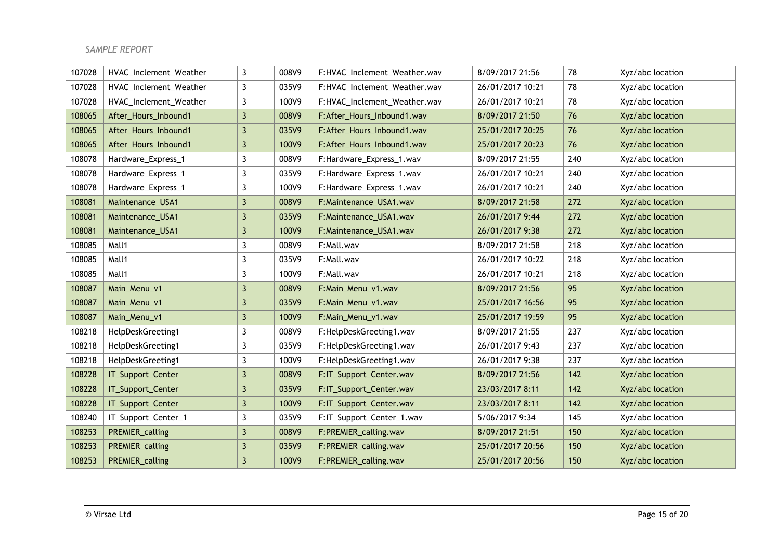| 107028 | HVAC_Inclement_Weather | 3                       | 008V9 | F:HVAC_Inclement_Weather.wav | 8/09/2017 21:56  | 78  | Xyz/abc location |
|--------|------------------------|-------------------------|-------|------------------------------|------------------|-----|------------------|
| 107028 | HVAC_Inclement_Weather | 3                       | 035V9 | F:HVAC_Inclement_Weather.wav | 26/01/2017 10:21 | 78  | Xyz/abc location |
| 107028 | HVAC_Inclement_Weather | 3                       | 100V9 | F:HVAC_Inclement_Weather.wav | 26/01/2017 10:21 | 78  | Xyz/abc location |
| 108065 | After_Hours_Inbound1   | 3                       | 008V9 | F:After_Hours_Inbound1.wav   | 8/09/2017 21:50  | 76  | Xyz/abc location |
| 108065 | After_Hours_Inbound1   | 3                       | 035V9 | F:After_Hours_Inbound1.wav   | 25/01/2017 20:25 | 76  | Xyz/abc location |
| 108065 | After_Hours_Inbound1   | $\overline{\mathbf{3}}$ | 100V9 | F:After_Hours_Inbound1.wav   | 25/01/2017 20:23 | 76  | Xyz/abc location |
| 108078 | Hardware_Express_1     | 3                       | 008V9 | F:Hardware_Express_1.wav     | 8/09/2017 21:55  | 240 | Xyz/abc location |
| 108078 | Hardware_Express_1     | 3                       | 035V9 | F:Hardware_Express_1.wav     | 26/01/2017 10:21 | 240 | Xyz/abc location |
| 108078 | Hardware_Express_1     | 3                       | 100V9 | F:Hardware_Express_1.wav     | 26/01/2017 10:21 | 240 | Xyz/abc location |
| 108081 | Maintenance_USA1       | 3                       | 008V9 | F:Maintenance_USA1.wav       | 8/09/2017 21:58  | 272 | Xyz/abc location |
| 108081 | Maintenance_USA1       | 3                       | 035V9 | F:Maintenance_USA1.wav       | 26/01/2017 9:44  | 272 | Xyz/abc location |
| 108081 | Maintenance_USA1       | 3                       | 100V9 | F:Maintenance_USA1.wav       | 26/01/2017 9:38  | 272 | Xyz/abc location |
| 108085 | Mall1                  | 3                       | 008V9 | F:Mall.wav                   | 8/09/2017 21:58  | 218 | Xyz/abc location |
| 108085 | Mall1                  | 3                       | 035V9 | F:Mall.wav                   | 26/01/2017 10:22 | 218 | Xyz/abc location |
| 108085 | Mall1                  | 3                       | 100V9 | F:Mall.wav                   | 26/01/2017 10:21 | 218 | Xyz/abc location |
| 108087 | Main_Menu_v1           | 3                       | 008V9 | F:Main_Menu_v1.wav           | 8/09/2017 21:56  | 95  | Xyz/abc location |
| 108087 | Main_Menu_v1           | 3                       | 035V9 | F:Main_Menu_v1.wav           | 25/01/2017 16:56 | 95  | Xyz/abc location |
| 108087 | Main_Menu_v1           | $\overline{\mathbf{3}}$ | 100V9 | F:Main_Menu_v1.wav           | 25/01/2017 19:59 | 95  | Xyz/abc location |
| 108218 | HelpDeskGreeting1      | 3                       | 008V9 | F:HelpDeskGreeting1.wav      | 8/09/2017 21:55  | 237 | Xyz/abc location |
| 108218 | HelpDeskGreeting1      | 3                       | 035V9 | F:HelpDeskGreeting1.wav      | 26/01/2017 9:43  | 237 | Xyz/abc location |
| 108218 | HelpDeskGreeting1      | 3                       | 100V9 | F:HelpDeskGreeting1.wav      | 26/01/2017 9:38  | 237 | Xyz/abc location |
| 108228 | IT_Support_Center      | 3                       | 008V9 | F:IT_Support_Center.wav      | 8/09/2017 21:56  | 142 | Xyz/abc location |
| 108228 | IT_Support_Center      | 3                       | 035V9 | F:IT_Support_Center.wav      | 23/03/2017 8:11  | 142 | Xyz/abc location |
| 108228 | IT_Support_Center      | 3                       | 100V9 | F:IT_Support_Center.wav      | 23/03/2017 8:11  | 142 | Xyz/abc location |
| 108240 | IT_Support_Center_1    | 3                       | 035V9 | F:IT_Support_Center_1.wav    | 5/06/2017 9:34   | 145 | Xyz/abc location |
| 108253 | PREMIER_calling        | $\overline{\mathbf{3}}$ | 008V9 | F:PREMIER_calling.wav        | 8/09/2017 21:51  | 150 | Xyz/abc location |
| 108253 | PREMIER_calling        | 3                       | 035V9 | F:PREMIER_calling.wav        | 25/01/2017 20:56 | 150 | Xyz/abc location |
| 108253 | PREMIER_calling        | $\overline{3}$          | 100V9 | F:PREMIER_calling.wav        | 25/01/2017 20:56 | 150 | Xyz/abc location |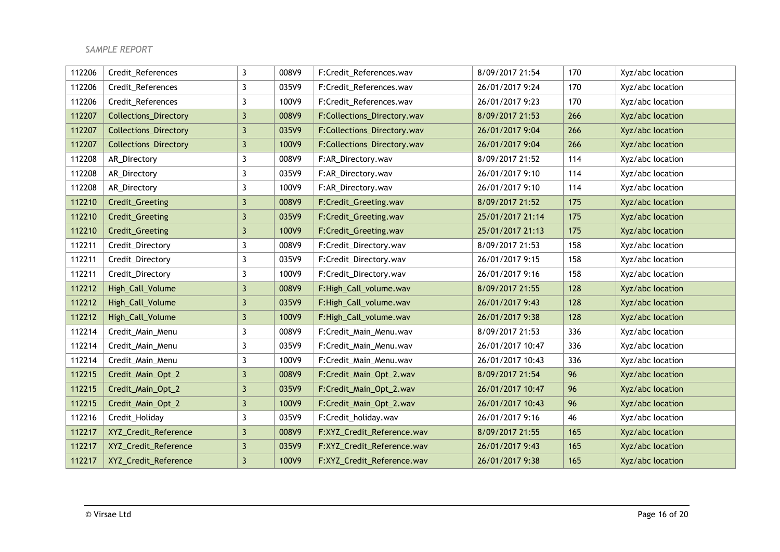| 112206 | Credit_References            | 3 | 008V9 | F:Credit_References.wav     | 8/09/2017 21:54  | 170 | Xyz/abc location |
|--------|------------------------------|---|-------|-----------------------------|------------------|-----|------------------|
| 112206 | Credit_References            | 3 | 035V9 | F:Credit_References.wav     | 26/01/2017 9:24  | 170 | Xyz/abc location |
| 112206 | Credit_References            | 3 | 100V9 | F:Credit_References.wav     | 26/01/2017 9:23  | 170 | Xyz/abc location |
| 112207 | <b>Collections_Directory</b> | 3 | 008V9 | F:Collections_Directory.wav | 8/09/2017 21:53  | 266 | Xyz/abc location |
| 112207 | <b>Collections_Directory</b> | 3 | 035V9 | F:Collections_Directory.wav | 26/01/2017 9:04  | 266 | Xyz/abc location |
| 112207 | <b>Collections_Directory</b> | 3 | 100V9 | F:Collections_Directory.wav | 26/01/2017 9:04  | 266 | Xyz/abc location |
| 112208 | AR_Directory                 | 3 | 008V9 | F:AR_Directory.wav          | 8/09/2017 21:52  | 114 | Xyz/abc location |
| 112208 | AR_Directory                 | 3 | 035V9 | F:AR_Directory.wav          | 26/01/2017 9:10  | 114 | Xyz/abc location |
| 112208 | AR_Directory                 | 3 | 100V9 | F:AR_Directory.wav          | 26/01/2017 9:10  | 114 | Xyz/abc location |
| 112210 | Credit_Greeting              | 3 | 008V9 | F:Credit_Greeting.wav       | 8/09/2017 21:52  | 175 | Xyz/abc location |
| 112210 | Credit_Greeting              | 3 | 035V9 | F:Credit_Greeting.wav       | 25/01/2017 21:14 | 175 | Xyz/abc location |
| 112210 | Credit_Greeting              | 3 | 100V9 | F:Credit_Greeting.wav       | 25/01/2017 21:13 | 175 | Xyz/abc location |
| 112211 | Credit_Directory             | 3 | 008V9 | F:Credit_Directory.wav      | 8/09/2017 21:53  | 158 | Xyz/abc location |
| 112211 | Credit_Directory             | 3 | 035V9 | F:Credit_Directory.wav      | 26/01/2017 9:15  | 158 | Xyz/abc location |
| 112211 | Credit_Directory             | 3 | 100V9 | F:Credit_Directory.wav      | 26/01/2017 9:16  | 158 | Xyz/abc location |
| 112212 | High_Call_Volume             | 3 | 008V9 | F:High_Call_volume.wav      | 8/09/2017 21:55  | 128 | Xyz/abc location |
| 112212 | High_Call_Volume             | 3 | 035V9 | F:High_Call_volume.wav      | 26/01/2017 9:43  | 128 | Xyz/abc location |
| 112212 | High_Call_Volume             | 3 | 100V9 | F:High_Call_volume.wav      | 26/01/2017 9:38  | 128 | Xyz/abc location |
| 112214 | Credit_Main_Menu             | 3 | 008V9 | F:Credit_Main_Menu.wav      | 8/09/2017 21:53  | 336 | Xyz/abc location |
| 112214 | Credit_Main_Menu             | 3 | 035V9 | F:Credit Main Menu.wav      | 26/01/2017 10:47 | 336 | Xyz/abc location |
| 112214 | Credit_Main_Menu             | 3 | 100V9 | F:Credit_Main_Menu.wav      | 26/01/2017 10:43 | 336 | Xyz/abc location |
| 112215 | Credit_Main_Opt_2            | 3 | 008V9 | F:Credit_Main_Opt_2.wav     | 8/09/2017 21:54  | 96  | Xyz/abc location |
| 112215 | Credit_Main_Opt_2            | 3 | 035V9 | F:Credit_Main_Opt_2.wav     | 26/01/2017 10:47 | 96  | Xyz/abc location |
| 112215 | Credit_Main_Opt_2            | 3 | 100V9 | F:Credit_Main_Opt_2.wav     | 26/01/2017 10:43 | 96  | Xyz/abc location |
| 112216 | Credit_Holiday               | 3 | 035V9 | F:Credit_holiday.wav        | 26/01/2017 9:16  | 46  | Xyz/abc location |
| 112217 | XYZ_Credit_Reference         | 3 | 008V9 | F:XYZ_Credit_Reference.wav  | 8/09/2017 21:55  | 165 | Xyz/abc location |
| 112217 | XYZ_Credit_Reference         | 3 | 035V9 | F:XYZ_Credit_Reference.wav  | 26/01/2017 9:43  | 165 | Xyz/abc location |
| 112217 | XYZ_Credit_Reference         | 3 | 100V9 | F:XYZ_Credit_Reference.wav  | 26/01/2017 9:38  | 165 | Xyz/abc location |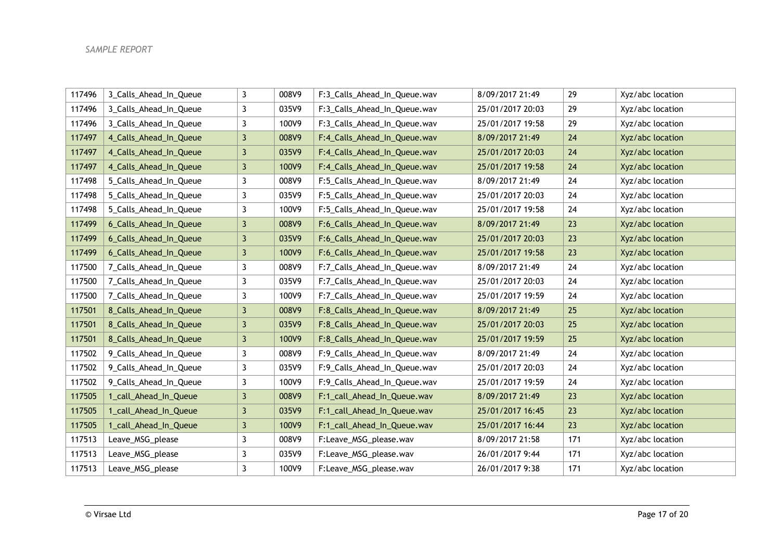| 117496 | 3_Calls_Ahead_In_Queue | 3              | 008V9 | F:3_Calls_Ahead_In_Queue.wav | 8/09/2017 21:49  | 29  | Xyz/abc location |
|--------|------------------------|----------------|-------|------------------------------|------------------|-----|------------------|
| 117496 | 3_Calls_Ahead_In_Queue | $\mathbf{3}$   | 035V9 | F:3_Calls_Ahead_In_Queue.wav | 25/01/2017 20:03 | 29  | Xyz/abc location |
| 117496 | 3_Calls_Ahead_In_Queue | 3              | 100V9 | F:3_Calls_Ahead_In_Queue.wav | 25/01/2017 19:58 | 29  | Xyz/abc location |
| 117497 | 4_Calls_Ahead_In_Queue | $\mathbf{3}$   | 008V9 | F:4_Calls_Ahead_In_Queue.wav | 8/09/2017 21:49  | 24  | Xyz/abc location |
| 117497 | 4_Calls_Ahead_In_Queue | $\mathbf{3}$   | 035V9 | F:4_Calls_Ahead_In_Queue.wav | 25/01/2017 20:03 | 24  | Xyz/abc location |
| 117497 | 4_Calls_Ahead_In_Queue | $\mathbf{3}$   | 100V9 | F:4_Calls_Ahead_In_Queue.wav | 25/01/2017 19:58 | 24  | Xyz/abc location |
| 117498 | 5_Calls_Ahead_In_Queue | $\mathbf{3}$   | 008V9 | F:5_Calls_Ahead_In_Queue.wav | 8/09/2017 21:49  | 24  | Xyz/abc location |
| 117498 | 5_Calls_Ahead_In_Queue | 3              | 035V9 | F:5_Calls_Ahead_In_Queue.wav | 25/01/2017 20:03 | 24  | Xyz/abc location |
| 117498 | 5_Calls_Ahead_In_Queue | 3              | 100V9 | F:5_Calls_Ahead_In_Queue.wav | 25/01/2017 19:58 | 24  | Xyz/abc location |
| 117499 | 6_Calls_Ahead_In_Queue | $\mathbf{3}$   | 008V9 | F:6_Calls_Ahead_In_Queue.wav | 8/09/2017 21:49  | 23  | Xyz/abc location |
| 117499 | 6_Calls_Ahead_In_Queue | $\mathbf{3}$   | 035V9 | F:6_Calls_Ahead_In_Queue.wav | 25/01/2017 20:03 | 23  | Xyz/abc location |
| 117499 | 6_Calls_Ahead_In_Queue | $\mathbf{3}$   | 100V9 | F:6_Calls_Ahead_In_Queue.wav | 25/01/2017 19:58 | 23  | Xyz/abc location |
| 117500 | 7_Calls_Ahead_In_Queue | 3              | 008V9 | F:7_Calls_Ahead_In_Queue.wav | 8/09/2017 21:49  | 24  | Xyz/abc location |
| 117500 | 7_Calls_Ahead_In_Queue | 3              | 035V9 | F:7_Calls_Ahead_In_Queue.wav | 25/01/2017 20:03 | 24  | Xyz/abc location |
| 117500 | 7_Calls_Ahead_In_Queue | $\mathbf{3}$   | 100V9 | F:7_Calls_Ahead_In_Queue.wav | 25/01/2017 19:59 | 24  | Xyz/abc location |
| 117501 | 8_Calls_Ahead_In_Queue | $\mathbf{3}$   | 008V9 | F:8_Calls_Ahead_In_Queue.wav | 8/09/2017 21:49  | 25  | Xyz/abc location |
| 117501 | 8_Calls_Ahead_In_Queue | $\mathbf{3}$   | 035V9 | F:8_Calls_Ahead_In_Queue.wav | 25/01/2017 20:03 | 25  | Xyz/abc location |
| 117501 | 8_Calls_Ahead_In_Queue | $\mathbf{3}$   | 100V9 | F:8_Calls_Ahead_In_Queue.wav | 25/01/2017 19:59 | 25  | Xyz/abc location |
| 117502 | 9_Calls_Ahead_In_Queue | 3              | 008V9 | F:9_Calls_Ahead_In_Queue.wav | 8/09/2017 21:49  | 24  | Xyz/abc location |
| 117502 | 9_Calls_Ahead_In_Queue | $\mathbf{3}$   | 035V9 | F:9_Calls_Ahead_In_Queue.wav | 25/01/2017 20:03 | 24  | Xyz/abc location |
| 117502 | 9_Calls_Ahead_In_Queue | 3              | 100V9 | F:9_Calls_Ahead_In_Queue.wav | 25/01/2017 19:59 | 24  | Xyz/abc location |
| 117505 | 1_call_Ahead_In_Queue  | $\mathbf{3}$   | 008V9 | F:1_call_Ahead_In_Queue.wav  | 8/09/2017 21:49  | 23  | Xyz/abc location |
| 117505 | 1_call_Ahead_In_Queue  | $\mathbf{3}$   | 035V9 | F:1_call_Ahead_In_Queue.wav  | 25/01/2017 16:45 | 23  | Xyz/abc location |
| 117505 | 1_call_Ahead_In_Queue  | $\overline{3}$ | 100V9 | F:1_call_Ahead_In_Queue.wav  | 25/01/2017 16:44 | 23  | Xyz/abc location |
| 117513 | Leave_MSG_please       | $\mathbf{3}$   | 008V9 | F:Leave_MSG_please.wav       | 8/09/2017 21:58  | 171 | Xyz/abc location |
| 117513 | Leave_MSG_please       | 3              | 035V9 | F:Leave_MSG_please.wav       | 26/01/2017 9:44  | 171 | Xyz/abc location |
| 117513 | Leave_MSG_please       | 3              | 100V9 | F:Leave_MSG_please.wav       | 26/01/2017 9:38  | 171 | Xyz/abc location |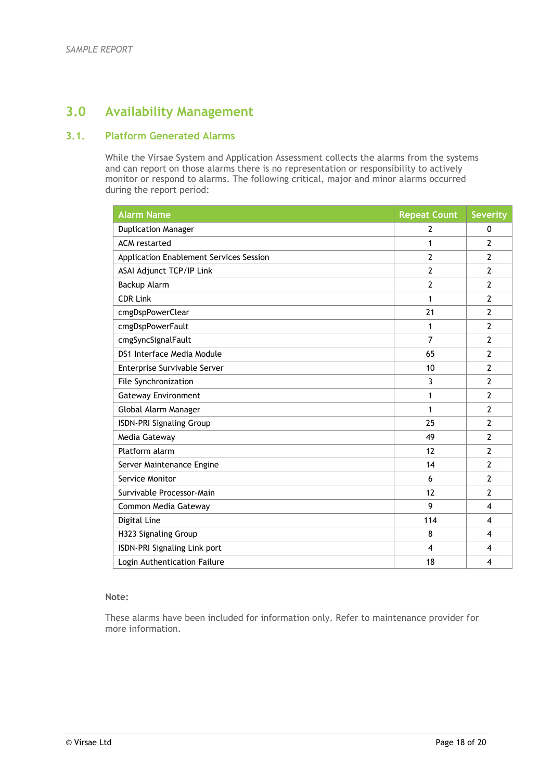# **3.0 Availability Management**

## **3.1. Platform Generated Alarms**

While the Virsae System and Application Assessment collects the alarms from the systems and can report on those alarms there is no representation or responsibility to actively monitor or respond to alarms. The following critical, major and minor alarms occurred during the report period:

| <b>Alarm Name</b>                       | <b>Repeat Count</b> | <b>Severity</b> |
|-----------------------------------------|---------------------|-----------------|
| <b>Duplication Manager</b>              | 2                   | 0               |
| <b>ACM</b> restarted                    | 1                   | 2               |
| Application Enablement Services Session | $\overline{2}$      | $\overline{2}$  |
| ASAI Adjunct TCP/IP Link                | $\overline{2}$      | $\overline{2}$  |
| Backup Alarm                            | $\overline{2}$      | $\overline{2}$  |
| <b>CDR Link</b>                         | 1                   | $\overline{2}$  |
| cmgDspPowerClear                        | 21                  | $\overline{2}$  |
| cmgDspPowerFault                        | 1                   | $\overline{2}$  |
| cmgSyncSignalFault                      | 7                   | $\overline{2}$  |
| DS1 Interface Media Module              | 65                  | $\overline{2}$  |
| Enterprise Survivable Server            | 10                  | $\overline{2}$  |
| File Synchronization                    | 3                   | $\overline{2}$  |
| <b>Gateway Environment</b>              | 1                   | $\overline{2}$  |
| Global Alarm Manager                    | 1                   | $\overline{2}$  |
| <b>ISDN-PRI Signaling Group</b>         | 25                  | $\overline{2}$  |
| Media Gateway                           | 49                  | $\overline{2}$  |
| Platform alarm                          | 12                  | $\overline{2}$  |
| Server Maintenance Engine               | 14                  | $\overline{2}$  |
| Service Monitor                         | 6                   | $\overline{2}$  |
| Survivable Processor-Main               | 12                  | $\overline{2}$  |
| Common Media Gateway                    | 9                   | 4               |
| Digital Line                            | 114                 | 4               |
| H323 Signaling Group                    | 8                   | 4               |
| ISDN-PRI Signaling Link port            | 4                   | 4               |
| Login Authentication Failure            | 18                  | 4               |

#### **Note:**

These alarms have been included for information only. Refer to maintenance provider for more information.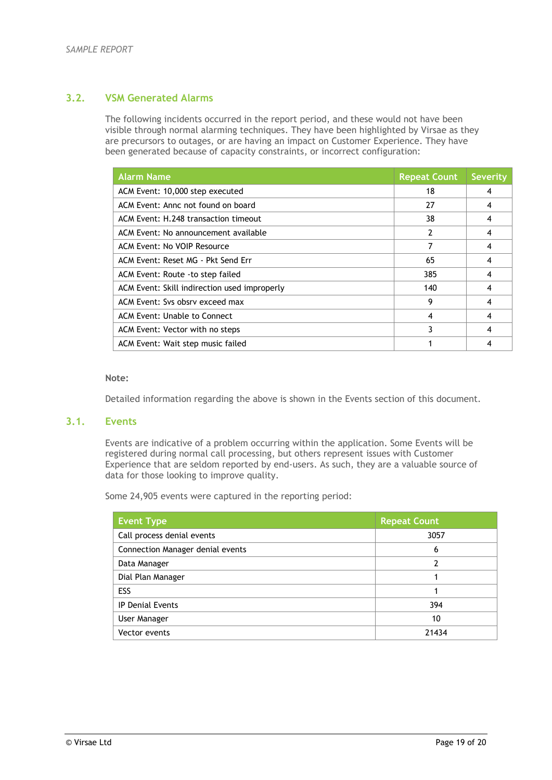## **3.2. VSM Generated Alarms**

The following incidents occurred in the report period, and these would not have been visible through normal alarming techniques. They have been highlighted by Virsae as they are precursors to outages, or are having an impact on Customer Experience. They have been generated because of capacity constraints, or incorrect configuration:

| <b>Alarm Name</b>                            | <b>Repeat Count</b> | <b>Severity</b> |
|----------------------------------------------|---------------------|-----------------|
| ACM Event: 10,000 step executed              | 18                  | 4               |
| ACM Event: Annc not found on board           | 27                  | 4               |
| ACM Event: H.248 transaction timeout         | 38                  | 4               |
| ACM Event: No announcement available         | 2                   | 4               |
| ACM Event: No VOIP Resource                  | 7                   | 4               |
| ACM Event: Reset MG - Pkt Send Err           | 65                  | 4               |
| ACM Event: Route - to step failed            | 385                 | 4               |
| ACM Event: Skill indirection used improperly | 140                 | 4               |
| ACM Event: Sys obsry exceed max              | 9                   | 4               |
| ACM Event: Unable to Connect                 | 4                   | 4               |
| ACM Event: Vector with no steps              | 3                   | 4               |
| ACM Event: Wait step music failed            |                     | 4               |

#### **Note:**

Detailed information regarding the above is shown in the Events section of this document.

## **3.1. Events**

Events are indicative of a problem occurring within the application. Some Events will be registered during normal call processing, but others represent issues with Customer Experience that are seldom reported by end-users. As such, they are a valuable source of data for those looking to improve quality.

Some 24,905 events were captured in the reporting period:

| <b>Event Type</b>                | <b>Repeat Count</b> |
|----------------------------------|---------------------|
| Call process denial events       | 3057                |
| Connection Manager denial events | 6                   |
| Data Manager                     |                     |
| Dial Plan Manager                |                     |
| ESS                              |                     |
| IP Denial Events                 | 394                 |
| User Manager                     | 10                  |
| Vector events                    | 21434               |